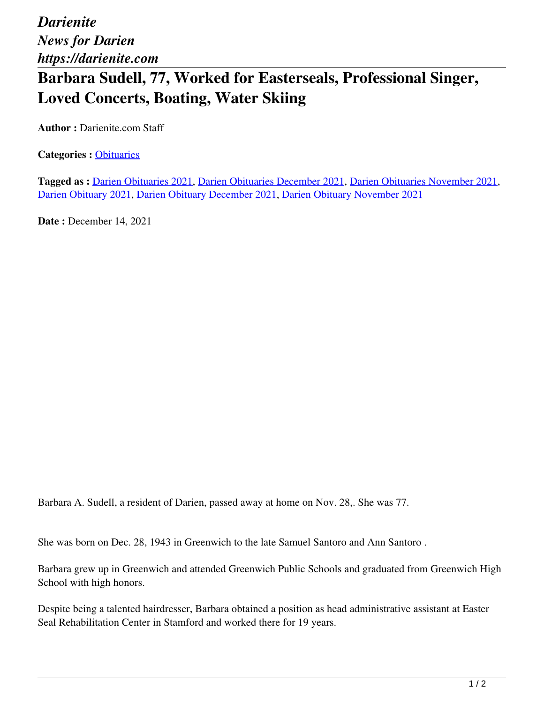*Darienite News for Darien https://darienite.com*

## **Barbara Sudell, 77, Worked for Easterseals, Professional Singer, Loved Concerts, Boating, Water Skiing**

**Author :** Darienite.com Staff

**Categories :** [Obituaries](https://darienite.com/category/obituaries)

**Tagged as :** Darien Obituaries 2021, Darien Obituaries December 2021, Darien Obituaries November 2021, Darien Obituary 2021, Darien Obituary December 2021, Darien Obituary November 2021

**Date : December 14, 2021** 

Barbara A. Sudell, a resident of Darien, passed away at home on Nov. 28,. She was 77.

She was born on Dec. 28, 1943 in Greenwich to the late Samuel Santoro and Ann Santoro .

Barbara grew up in Greenwich and attended Greenwich Public Schools and graduated from Greenwich High School with high honors.

Despite being a talented hairdresser, Barbara obtained a position as head administrative assistant at Easter Seal Rehabilitation Center in Stamford and worked there for 19 years.